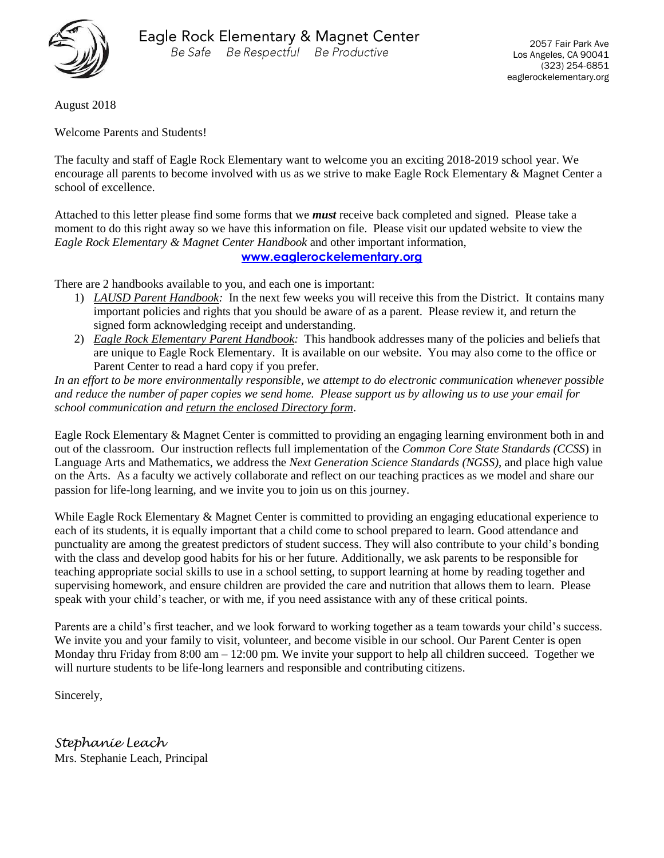

August 2018

Welcome Parents and Students!

The faculty and staff of Eagle Rock Elementary want to welcome you an exciting 2018-2019 school year. We encourage all parents to become involved with us as we strive to make Eagle Rock Elementary & Magnet Center a school of excellence.

Attached to this letter please find some forms that we *must* receive back completed and signed. Please take a moment to do this right away so we have this information on file. Please visit our updated website to view the *Eagle Rock Elementary & Magnet Center Handbook* and other important information,

**[www.eaglerockelementary.org](http://www.eaglerockelementary.org/)**

There are 2 handbooks available to you, and each one is important:

- 1) *LAUSD Parent Handbook:* In the next few weeks you will receive this from the District. It contains many important policies and rights that you should be aware of as a parent. Please review it, and return the signed form acknowledging receipt and understanding.
- 2) *Eagle Rock Elementary Parent Handbook:* This handbook addresses many of the policies and beliefs that are unique to Eagle Rock Elementary. It is available on our website. You may also come to the office or Parent Center to read a hard copy if you prefer.

*In an effort to be more environmentally responsible, we attempt to do electronic communication whenever possible and reduce the number of paper copies we send home. Please support us by allowing us to use your email for school communication and return the enclosed Directory form*.

Eagle Rock Elementary & Magnet Center is committed to providing an engaging learning environment both in and out of the classroom. Our instruction reflects full implementation of the *Common Core State Standards (CCSS*) in Language Arts and Mathematics, we address the *Next Generation Science Standards (NGSS)*, and place high value on the Arts. As a faculty we actively collaborate and reflect on our teaching practices as we model and share our passion for life-long learning, and we invite you to join us on this journey.

While Eagle Rock Elementary & Magnet Center is committed to providing an engaging educational experience to each of its students, it is equally important that a child come to school prepared to learn. Good attendance and punctuality are among the greatest predictors of student success. They will also contribute to your child's bonding with the class and develop good habits for his or her future. Additionally, we ask parents to be responsible for teaching appropriate social skills to use in a school setting, to support learning at home by reading together and supervising homework, and ensure children are provided the care and nutrition that allows them to learn. Please speak with your child's teacher, or with me, if you need assistance with any of these critical points.

Parents are a child's first teacher, and we look forward to working together as a team towards your child's success. We invite you and your family to visit, volunteer, and become visible in our school. Our Parent Center is open Monday thru Friday from 8:00 am – 12:00 pm. We invite your support to help all children succeed. Together we will nurture students to be life-long learners and responsible and contributing citizens.

Sincerely,

*Stephanie Leach* Mrs. Stephanie Leach, Principal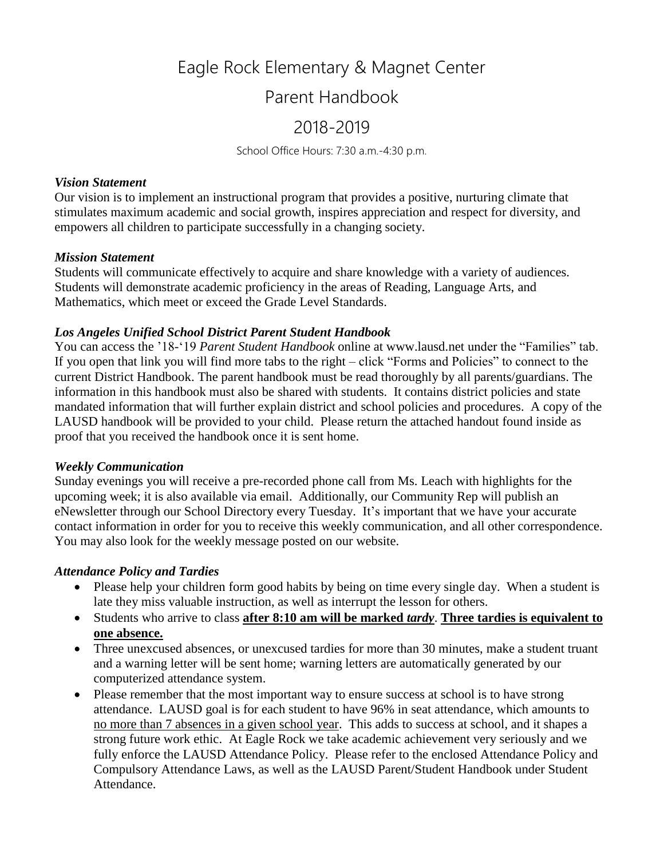# Eagle Rock Elementary & Magnet Center

## Parent Handbook

## 2018-2019

School Office Hours: 7:30 a.m.-4:30 p.m.

#### *Vision Statement*

Our vision is to implement an instructional program that provides a positive, nurturing climate that stimulates maximum academic and social growth, inspires appreciation and respect for diversity, and empowers all children to participate successfully in a changing society.

#### *Mission Statement*

Students will communicate effectively to acquire and share knowledge with a variety of audiences. Students will demonstrate academic proficiency in the areas of Reading, Language Arts, and Mathematics, which meet or exceed the Grade Level Standards.

#### *Los Angeles Unified School District Parent Student Handbook*

You can access the '18-'19 *Parent Student Handbook* online at [www.lausd.net](http://www.lausd.net/) under the "Families" tab. If you open that link you will find more tabs to the right – click "Forms and Policies" to connect to the current District Handbook. The parent handbook must be read thoroughly by all parents/guardians. The information in this handbook must also be shared with students. It contains district policies and state mandated information that will further explain district and school policies and procedures. A copy of the LAUSD handbook will be provided to your child. Please return the attached handout found inside as proof that you received the handbook once it is sent home.

#### *Weekly Communication*

Sunday evenings you will receive a pre-recorded phone call from Ms. Leach with highlights for the upcoming week; it is also available via email. Additionally, our Community Rep will publish an eNewsletter through our School Directory every Tuesday. It's important that we have your accurate contact information in order for you to receive this weekly communication, and all other correspondence. You may also look for the weekly message posted on our website.

#### *Attendance Policy and Tardies*

- Please help your children form good habits by being on time every single day. When a student is late they miss valuable instruction, as well as interrupt the lesson for others.
- Students who arrive to class **after 8:10 am will be marked** *tardy*. **Three tardies is equivalent to one absence.**
- Three unexcused absences, or unexcused tardies for more than 30 minutes, make a student truant and a warning letter will be sent home; warning letters are automatically generated by our computerized attendance system.
- Please remember that the most important way to ensure success at school is to have strong attendance. LAUSD goal is for each student to have 96% in seat attendance, which amounts to no more than 7 absences in a given school year. This adds to success at school, and it shapes a strong future work ethic. At Eagle Rock we take academic achievement very seriously and we fully enforce the LAUSD Attendance Policy. Please refer to the enclosed Attendance Policy and Compulsory Attendance Laws, as well as the LAUSD Parent/Student Handbook under Student Attendance.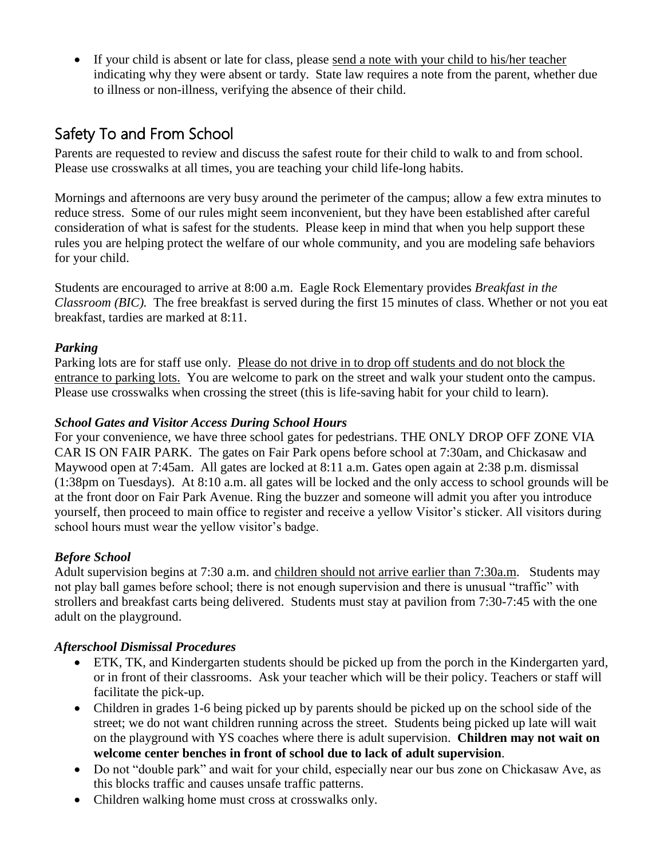If your child is absent or late for class, please send a note with your child to his/her teacher indicating why they were absent or tardy. State law requires a note from the parent, whether due to illness or non-illness, verifying the absence of their child.

## Safety To and From School

Parents are requested to review and discuss the safest route for their child to walk to and from school. Please use crosswalks at all times, you are teaching your child life-long habits.

Mornings and afternoons are very busy around the perimeter of the campus; allow a few extra minutes to reduce stress. Some of our rules might seem inconvenient, but they have been established after careful consideration of what is safest for the students. Please keep in mind that when you help support these rules you are helping protect the welfare of our whole community, and you are modeling safe behaviors for your child.

Students are encouraged to arrive at 8:00 a.m. Eagle Rock Elementary provides *Breakfast in the Classroom (BIC).* The free breakfast is served during the first 15 minutes of class. Whether or not you eat breakfast, tardies are marked at 8:11.

#### *Parking*

Parking lots are for staff use only. Please do not drive in to drop off students and do not block the entrance to parking lots. You are welcome to park on the street and walk your student onto the campus. Please use crosswalks when crossing the street (this is life-saving habit for your child to learn).

#### *School Gates and Visitor Access During School Hours*

For your convenience, we have three school gates for pedestrians. THE ONLY DROP OFF ZONE VIA CAR IS ON FAIR PARK. The gates on Fair Park opens before school at 7:30am, and Chickasaw and Maywood open at 7:45am. All gates are locked at 8:11 a.m. Gates open again at 2:38 p.m. dismissal (1:38pm on Tuesdays). At 8:10 a.m. all gates will be locked and the only access to school grounds will be at the front door on Fair Park Avenue. Ring the buzzer and someone will admit you after you introduce yourself, then proceed to main office to register and receive a yellow Visitor's sticker. All visitors during school hours must wear the yellow visitor's badge.

#### *Before School*

Adult supervision begins at 7:30 a.m. and children should not arrive earlier than 7:30 a.m. Students may not play ball games before school; there is not enough supervision and there is unusual "traffic" with strollers and breakfast carts being delivered. Students must stay at pavilion from 7:30-7:45 with the one adult on the playground.

#### *Afterschool Dismissal Procedures*

- ETK, TK, and Kindergarten students should be picked up from the porch in the Kindergarten yard, or in front of their classrooms. Ask your teacher which will be their policy. Teachers or staff will facilitate the pick-up.
- Children in grades 1-6 being picked up by parents should be picked up on the school side of the street; we do not want children running across the street. Students being picked up late will wait on the playground with YS coaches where there is adult supervision. **Children may not wait on welcome center benches in front of school due to lack of adult supervision**.
- Do not "double park" and wait for your child, especially near our bus zone on Chickasaw Ave, as this blocks traffic and causes unsafe traffic patterns.
- Children walking home must cross at crosswalks only.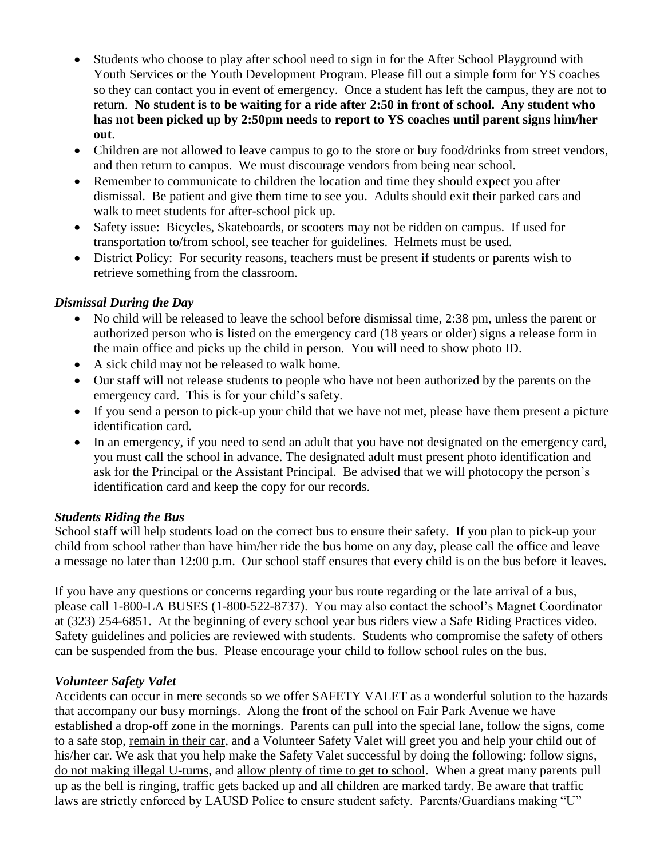- Students who choose to play after school need to sign in for the After School Playground with Youth Services or the Youth Development Program. Please fill out a simple form for YS coaches so they can contact you in event of emergency. Once a student has left the campus, they are not to return. **No student is to be waiting for a ride after 2:50 in front of school. Any student who has not been picked up by 2:50pm needs to report to YS coaches until parent signs him/her out**.
- Children are not allowed to leave campus to go to the store or buy food/drinks from street vendors, and then return to campus. We must discourage vendors from being near school.
- Remember to communicate to children the location and time they should expect you after dismissal. Be patient and give them time to see you. Adults should exit their parked cars and walk to meet students for after-school pick up.
- Safety issue: Bicycles, Skateboards, or scooters may not be ridden on campus. If used for transportation to/from school, see teacher for guidelines. Helmets must be used.
- District Policy: For security reasons, teachers must be present if students or parents wish to retrieve something from the classroom.

#### *Dismissal During the Day*

- No child will be released to leave the school before dismissal time, 2:38 pm, unless the parent or authorized person who is listed on the emergency card (18 years or older) signs a release form in the main office and picks up the child in person. You will need to show photo ID.
- A sick child may not be released to walk home.
- Our staff will not release students to people who have not been authorized by the parents on the emergency card. This is for your child's safety.
- If you send a person to pick-up your child that we have not met, please have them present a picture identification card.
- In an emergency, if you need to send an adult that you have not designated on the emergency card, you must call the school in advance. The designated adult must present photo identification and ask for the Principal or the Assistant Principal. Be advised that we will photocopy the person's identification card and keep the copy for our records.

#### *Students Riding the Bus*

School staff will help students load on the correct bus to ensure their safety. If you plan to pick-up your child from school rather than have him/her ride the bus home on any day, please call the office and leave a message no later than 12:00 p.m. Our school staff ensures that every child is on the bus before it leaves.

If you have any questions or concerns regarding your bus route regarding or the late arrival of a bus, please call 1-800-LA BUSES (1-800-522-8737). You may also contact the school's Magnet Coordinator at (323) 254-6851. At the beginning of every school year bus riders view a Safe Riding Practices video. Safety guidelines and policies are reviewed with students. Students who compromise the safety of others can be suspended from the bus. Please encourage your child to follow school rules on the bus.

#### *Volunteer Safety Valet*

Accidents can occur in mere seconds so we offer SAFETY VALET as a wonderful solution to the hazards that accompany our busy mornings. Along the front of the school on Fair Park Avenue we have established a drop-off zone in the mornings. Parents can pull into the special lane, follow the signs, come to a safe stop, remain in their car, and a Volunteer Safety Valet will greet you and help your child out of his/her car. We ask that you help make the Safety Valet successful by doing the following: follow signs, do not making illegal U-turns, and allow plenty of time to get to school. When a great many parents pull up as the bell is ringing, traffic gets backed up and all children are marked tardy. Be aware that traffic laws are strictly enforced by LAUSD Police to ensure student safety. Parents/Guardians making "U"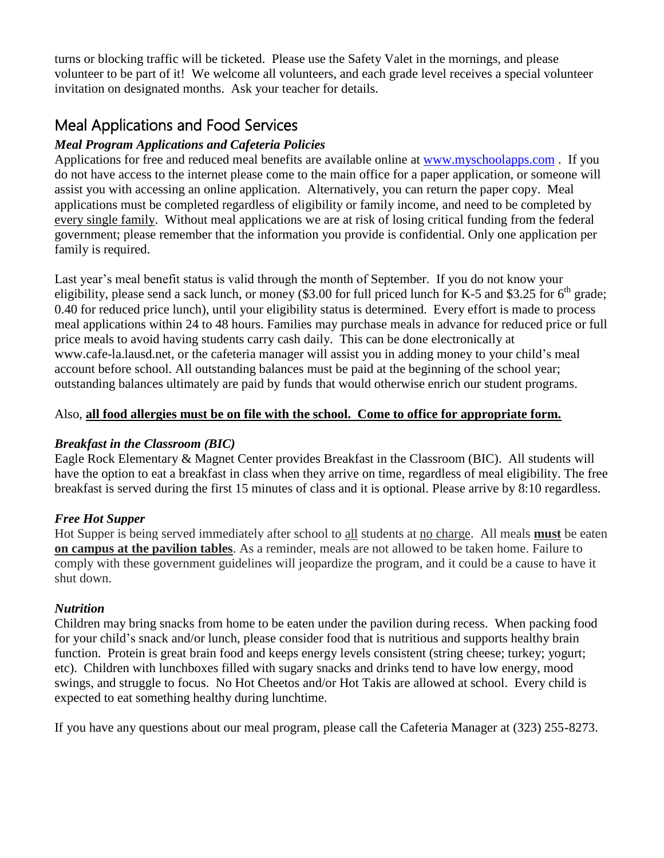turns or blocking traffic will be ticketed. Please use the Safety Valet in the mornings, and please volunteer to be part of it! We welcome all volunteers, and each grade level receives a special volunteer invitation on designated months. Ask your teacher for details.

## Meal Applications and Food Services

#### *Meal Program Applications and Cafeteria Policies*

Applications for free and reduced meal benefits are available online at [www.myschoolapps.com](http://www.myschoolapps.com/) . If you do not have access to the internet please come to the main office for a paper application, or someone will assist you with accessing an online application. Alternatively, you can return the paper copy. Meal applications must be completed regardless of eligibility or family income, and need to be completed by every single family. Without meal applications we are at risk of losing critical funding from the federal government; please remember that the information you provide is confidential. Only one application per family is required.

Last year's meal benefit status is valid through the month of September. If you do not know your eligibility, please send a sack lunch, or money (\$3.00 for full priced lunch for K-5 and \$3.25 for  $6<sup>th</sup>$  grade; 0.40 for reduced price lunch), until your eligibility status is determined. Every effort is made to process meal applications within 24 to 48 hours. Families may purchase meals in advance for reduced price or full price meals to avoid having students carry cash daily. This can be done electronically at www.cafe-la.lausd.net, or the cafeteria manager will assist you in adding money to your child's meal account before school. All outstanding balances must be paid at the beginning of the school year; outstanding balances ultimately are paid by funds that would otherwise enrich our student programs.

#### Also, **all food allergies must be on file with the school. Come to office for appropriate form.**

#### *Breakfast in the Classroom (BIC)*

Eagle Rock Elementary & Magnet Center provides Breakfast in the Classroom (BIC). All students will have the option to eat a breakfast in class when they arrive on time, regardless of meal eligibility. The free breakfast is served during the first 15 minutes of class and it is optional. Please arrive by 8:10 regardless.

#### *Free Hot Supper*

Hot Supper is being served immediately after school to all students at no charge. All meals **must** be eaten **on campus at the pavilion tables**. As a reminder, meals are not allowed to be taken home. Failure to comply with these government guidelines will jeopardize the program, and it could be a cause to have it shut down.

#### *Nutrition*

Children may bring snacks from home to be eaten under the pavilion during recess. When packing food for your child's snack and/or lunch, please consider food that is nutritious and supports healthy brain function. Protein is great brain food and keeps energy levels consistent (string cheese; turkey; yogurt; etc). Children with lunchboxes filled with sugary snacks and drinks tend to have low energy, mood swings, and struggle to focus. No Hot Cheetos and/or Hot Takis are allowed at school. Every child is expected to eat something healthy during lunchtime.

If you have any questions about our meal program, please call the Cafeteria Manager at (323) 255-8273.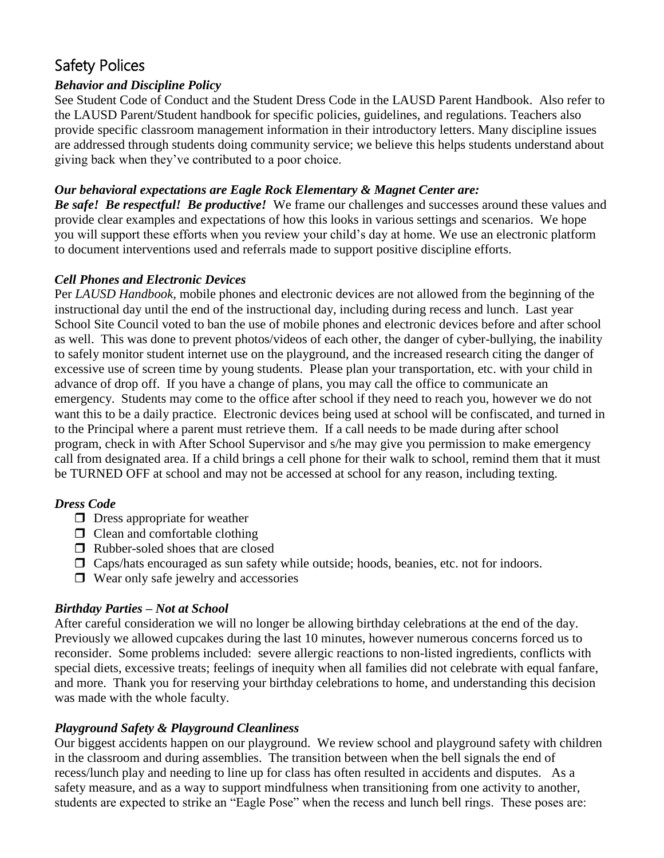## Safety Polices

#### *Behavior and Discipline Policy*

See Student Code of Conduct and the Student Dress Code in the LAUSD Parent Handbook. Also refer to the LAUSD Parent/Student handbook for specific policies, guidelines, and regulations. Teachers also provide specific classroom management information in their introductory letters. Many discipline issues are addressed through students doing community service; we believe this helps students understand about giving back when they've contributed to a poor choice.

#### *Our behavioral expectations are Eagle Rock Elementary & Magnet Center are:*

*Be safe! Be respectful! Be productive!* We frame our challenges and successes around these values and provide clear examples and expectations of how this looks in various settings and scenarios. We hope you will support these efforts when you review your child's day at home. We use an electronic platform to document interventions used and referrals made to support positive discipline efforts.

#### *Cell Phones and Electronic Devices*

Per *LAUSD Handbook,* mobile phones and electronic devices are not allowed from the beginning of the instructional day until the end of the instructional day, including during recess and lunch. Last year School Site Council voted to ban the use of mobile phones and electronic devices before and after school as well. This was done to prevent photos/videos of each other, the danger of cyber-bullying, the inability to safely monitor student internet use on the playground, and the increased research citing the danger of excessive use of screen time by young students. Please plan your transportation, etc. with your child in advance of drop off. If you have a change of plans, you may call the office to communicate an emergency. Students may come to the office after school if they need to reach you, however we do not want this to be a daily practice. Electronic devices being used at school will be confiscated, and turned in to the Principal where a parent must retrieve them. If a call needs to be made during after school program, check in with After School Supervisor and s/he may give you permission to make emergency call from designated area. If a child brings a cell phone for their walk to school, remind them that it must be TURNED OFF at school and may not be accessed at school for any reason, including texting.

#### *Dress Code*

- $\Box$  Dress appropriate for weather
- $\Box$  Clean and comfortable clothing
- $\Box$  Rubber-soled shoes that are closed
- $\Box$  Caps/hats encouraged as sun safety while outside; hoods, beanies, etc. not for indoors.
- $\Box$  Wear only safe jewelry and accessories

#### *Birthday Parties – Not at School*

After careful consideration we will no longer be allowing birthday celebrations at the end of the day. Previously we allowed cupcakes during the last 10 minutes, however numerous concerns forced us to reconsider. Some problems included: severe allergic reactions to non-listed ingredients, conflicts with special diets, excessive treats; feelings of inequity when all families did not celebrate with equal fanfare, and more. Thank you for reserving your birthday celebrations to home, and understanding this decision was made with the whole faculty.

#### *Playground Safety & Playground Cleanliness*

Our biggest accidents happen on our playground. We review school and playground safety with children in the classroom and during assemblies. The transition between when the bell signals the end of recess/lunch play and needing to line up for class has often resulted in accidents and disputes. As a safety measure, and as a way to support mindfulness when transitioning from one activity to another, students are expected to strike an "Eagle Pose" when the recess and lunch bell rings. These poses are: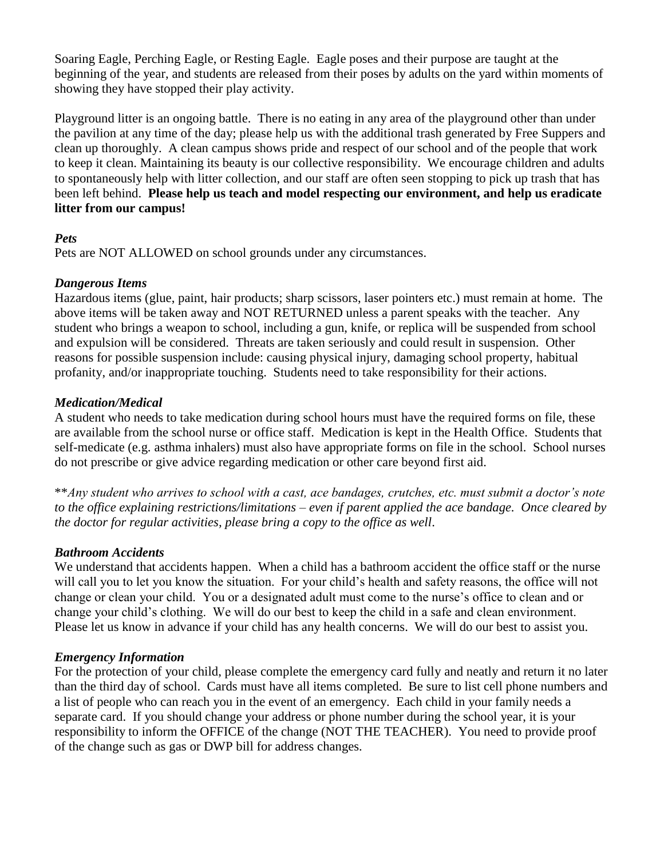Soaring Eagle, Perching Eagle, or Resting Eagle. Eagle poses and their purpose are taught at the beginning of the year, and students are released from their poses by adults on the yard within moments of showing they have stopped their play activity.

Playground litter is an ongoing battle. There is no eating in any area of the playground other than under the pavilion at any time of the day; please help us with the additional trash generated by Free Suppers and clean up thoroughly. A clean campus shows pride and respect of our school and of the people that work to keep it clean. Maintaining its beauty is our collective responsibility. We encourage children and adults to spontaneously help with litter collection, and our staff are often seen stopping to pick up trash that has been left behind. **Please help us teach and model respecting our environment, and help us eradicate litter from our campus!** 

#### *Pets*

Pets are NOT ALLOWED on school grounds under any circumstances.

#### *Dangerous Items*

Hazardous items (glue, paint, hair products; sharp scissors, laser pointers etc.) must remain at home. The above items will be taken away and NOT RETURNED unless a parent speaks with the teacher. Any student who brings a weapon to school, including a gun, knife, or replica will be suspended from school and expulsion will be considered. Threats are taken seriously and could result in suspension. Other reasons for possible suspension include: causing physical injury, damaging school property, habitual profanity, and/or inappropriate touching. Students need to take responsibility for their actions.

#### *Medication/Medical*

A student who needs to take medication during school hours must have the required forms on file, these are available from the school nurse or office staff. Medication is kept in the Health Office. Students that self-medicate (e.g. asthma inhalers) must also have appropriate forms on file in the school. School nurses do not prescribe or give advice regarding medication or other care beyond first aid.

\*\**Any student who arrives to school with a cast, ace bandages, crutches, etc. must submit a doctor's note to the office explaining restrictions/limitations – even if parent applied the ace bandage. Once cleared by the doctor for regular activities, please bring a copy to the office as well*.

#### *Bathroom Accidents*

We understand that accidents happen. When a child has a bathroom accident the office staff or the nurse will call you to let you know the situation. For your child's health and safety reasons, the office will not change or clean your child. You or a designated adult must come to the nurse's office to clean and or change your child's clothing. We will do our best to keep the child in a safe and clean environment. Please let us know in advance if your child has any health concerns. We will do our best to assist you.

#### *Emergency Information*

For the protection of your child, please complete the emergency card fully and neatly and return it no later than the third day of school. Cards must have all items completed. Be sure to list cell phone numbers and a list of people who can reach you in the event of an emergency. Each child in your family needs a separate card. If you should change your address or phone number during the school year, it is your responsibility to inform the OFFICE of the change (NOT THE TEACHER). You need to provide proof of the change such as gas or DWP bill for address changes.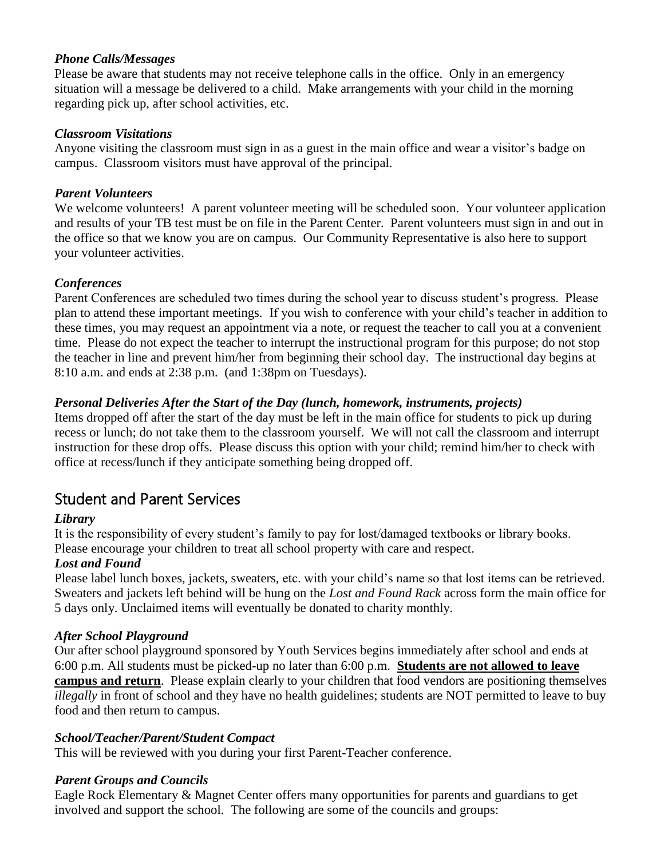#### *Phone Calls/Messages*

Please be aware that students may not receive telephone calls in the office. Only in an emergency situation will a message be delivered to a child. Make arrangements with your child in the morning regarding pick up, after school activities, etc.

#### *Classroom Visitations*

Anyone visiting the classroom must sign in as a guest in the main office and wear a visitor's badge on campus. Classroom visitors must have approval of the principal.

#### *Parent Volunteers*

We welcome volunteers! A parent volunteer meeting will be scheduled soon. Your volunteer application and results of your TB test must be on file in the Parent Center. Parent volunteers must sign in and out in the office so that we know you are on campus. Our Community Representative is also here to support your volunteer activities.

#### *Conferences*

Parent Conferences are scheduled two times during the school year to discuss student's progress. Please plan to attend these important meetings. If you wish to conference with your child's teacher in addition to these times, you may request an appointment via a note, or request the teacher to call you at a convenient time. Please do not expect the teacher to interrupt the instructional program for this purpose; do not stop the teacher in line and prevent him/her from beginning their school day. The instructional day begins at 8:10 a.m. and ends at 2:38 p.m. (and 1:38pm on Tuesdays).

#### *Personal Deliveries After the Start of the Day (lunch, homework, instruments, projects)*

Items dropped off after the start of the day must be left in the main office for students to pick up during recess or lunch; do not take them to the classroom yourself. We will not call the classroom and interrupt instruction for these drop offs. Please discuss this option with your child; remind him/her to check with office at recess/lunch if they anticipate something being dropped off.

### Student and Parent Services

#### *Library*

It is the responsibility of every student's family to pay for lost/damaged textbooks or library books. Please encourage your children to treat all school property with care and respect.

#### *Lost and Found*

Please label lunch boxes, jackets, sweaters, etc. with your child's name so that lost items can be retrieved. Sweaters and jackets left behind will be hung on the *Lost and Found Rack* across form the main office for 5 days only. Unclaimed items will eventually be donated to charity monthly.

#### *After School Playground*

Our after school playground sponsored by Youth Services begins immediately after school and ends at 6:00 p.m. All students must be picked-up no later than 6:00 p.m. **Students are not allowed to leave campus and return**. Please explain clearly to your children that food vendors are positioning themselves *illegally* in front of school and they have no health guidelines; students are NOT permitted to leave to buy food and then return to campus.

#### *School/Teacher/Parent/Student Compact*

This will be reviewed with you during your first Parent-Teacher conference.

#### *Parent Groups and Councils*

Eagle Rock Elementary & Magnet Center offers many opportunities for parents and guardians to get involved and support the school. The following are some of the councils and groups: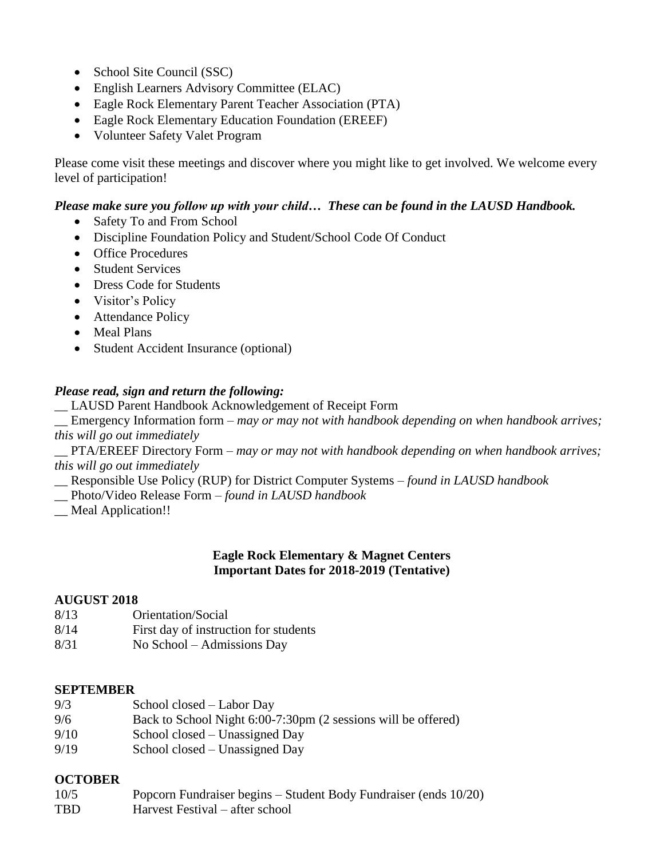- School Site Council (SSC)
- English Learners Advisory Committee (ELAC)
- Eagle Rock Elementary Parent Teacher Association (PTA)
- Eagle Rock Elementary Education Foundation (EREEF)
- Volunteer Safety Valet Program

Please come visit these meetings and discover where you might like to get involved. We welcome every level of participation!

#### *Please make sure you follow up with your child… These can be found in the LAUSD Handbook.*

- Safety To and From School
- Discipline Foundation Policy and Student/School Code Of Conduct
- Office Procedures
- Student Services
- Dress Code for Students
- Visitor's Policy
- Attendance Policy
- Meal Plans
- Student Accident Insurance (optional)

#### *Please read, sign and return the following:*

\_\_ LAUSD Parent Handbook Acknowledgement of Receipt Form

Emergency Information form – *may or may not with handbook depending on when handbook arrives; this will go out immediately*

\_\_ PTA/EREEF Directory Form – *may or may not with handbook depending on when handbook arrives; this will go out immediately*

- \_\_ Responsible Use Policy (RUP) for District Computer Systems *found in LAUSD handbook*
- \_\_ Photo/Video Release Form *found in LAUSD handbook*
- *\_\_* Meal Application!!

#### **Eagle Rock Elementary & Magnet Centers Important Dates for 2018-2019 (Tentative)**

#### **AUGUST 2018**

- 8/13 Orientation/Social
- 8/14 First day of instruction for students
- 8/31 No School Admissions Day

#### **SEPTEMBER**

- 9/3 School closed Labor Day
- 9/6 Back to School Night 6:00-7:30pm (2 sessions will be offered)
- 9/10 School closed Unassigned Day
- 9/19 School closed Unassigned Day

#### **OCTOBER**

10/5 Popcorn Fundraiser begins – Student Body Fundraiser (ends 10/20) TBD Harvest Festival – after school